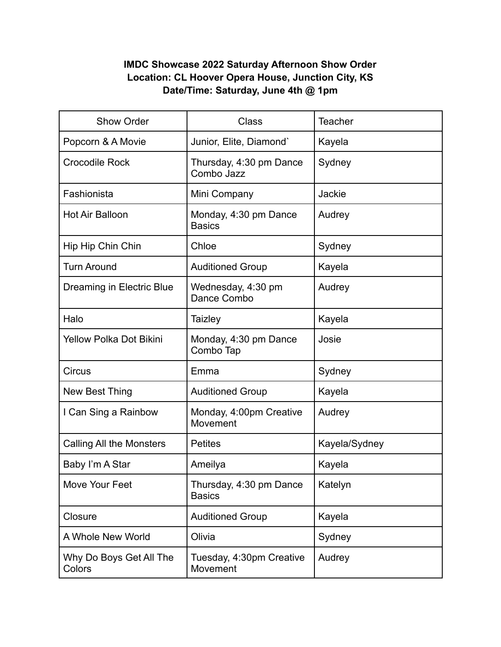## **IMDC Showcase 2022 Saturday Afternoon Show Order Location: CL Hoover Opera House, Junction City, KS Date/Time: Saturday, June 4th @ 1pm**

| <b>Show Order</b>                 | <b>Class</b>                             | <b>Teacher</b> |
|-----------------------------------|------------------------------------------|----------------|
| Popcorn & A Movie                 | Junior, Elite, Diamond'                  | Kayela         |
| <b>Crocodile Rock</b>             | Thursday, 4:30 pm Dance<br>Combo Jazz    | Sydney         |
| Fashionista                       | Mini Company                             | Jackie         |
| <b>Hot Air Balloon</b>            | Monday, 4:30 pm Dance<br><b>Basics</b>   | Audrey         |
| Hip Hip Chin Chin                 | Chloe                                    | Sydney         |
| <b>Turn Around</b>                | <b>Auditioned Group</b>                  | Kayela         |
| Dreaming in Electric Blue         | Wednesday, 4:30 pm<br>Dance Combo        | Audrey         |
| Halo                              | Taizley                                  | Kayela         |
| <b>Yellow Polka Dot Bikini</b>    | Monday, 4:30 pm Dance<br>Combo Tap       | Josie          |
| Circus                            | Emma                                     | Sydney         |
| New Best Thing                    | <b>Auditioned Group</b>                  | Kayela         |
| I Can Sing a Rainbow              | Monday, 4:00pm Creative<br>Movement      | Audrey         |
| <b>Calling All the Monsters</b>   | <b>Petites</b>                           | Kayela/Sydney  |
| Baby I'm A Star                   | Ameilya                                  | Kayela         |
| Move Your Feet                    | Thursday, 4:30 pm Dance<br><b>Basics</b> | Katelyn        |
| Closure                           | <b>Auditioned Group</b>                  | Kayela         |
| A Whole New World                 | Olivia                                   | Sydney         |
| Why Do Boys Get All The<br>Colors | Tuesday, 4:30pm Creative<br>Movement     | Audrey         |